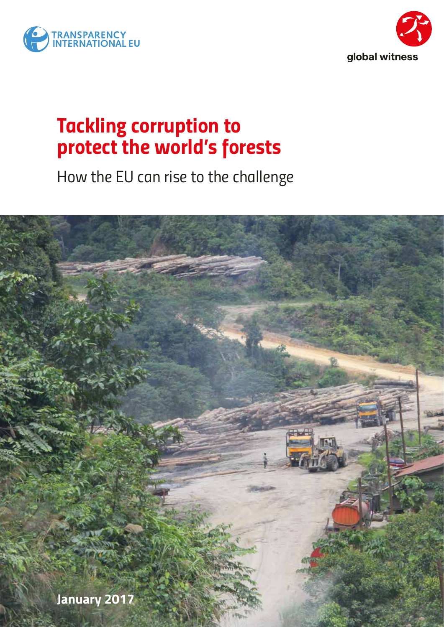



# *Tackling corruption to protect the world's forests*

*How the EU can rise to the challenge*

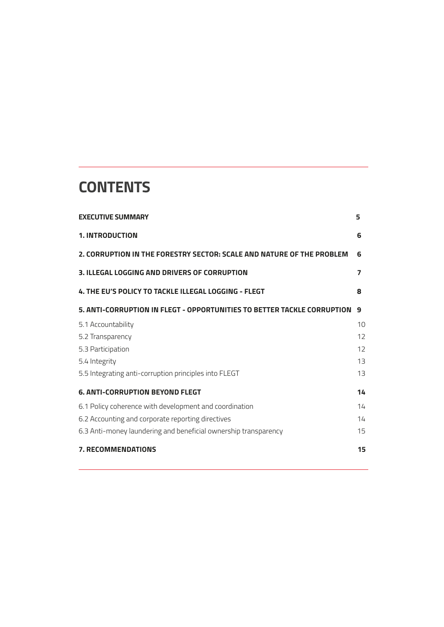# **CONTENTS**

| <b>EXECUTIVE SUMMARY</b>                                                | 5  |
|-------------------------------------------------------------------------|----|
| <b>1. INTRODUCTION</b>                                                  | 6  |
| 2. CORRUPTION IN THE FORESTRY SECTOR: SCALE AND NATURE OF THE PROBLEM   | 6  |
| 3. ILLEGAL LOGGING AND DRIVERS OF CORRUPTION                            | 7  |
| 4. THE EU'S POLICY TO TACKLE ILLEGAL LOGGING - FLEGT                    | 8  |
| 5. ANTI-CORRUPTION IN FLEGT - OPPORTUNITIES TO BETTER TACKLE CORRUPTION | 9  |
| 5.1 Accountability                                                      | 10 |
| 5.2 Transparency                                                        | 12 |
| 5.3 Participation                                                       | 12 |
| 5.4 Integrity                                                           | 13 |
| 5.5 Integrating anti-corruption principles into FLEGT                   | 13 |
| <b>6. ANTI-CORRUPTION BEYOND FLEGT</b>                                  | 14 |
| 6.1 Policy coherence with development and coordination                  | 14 |
| 6.2 Accounting and corporate reporting directives                       | 14 |
| 6.3 Anti-money laundering and beneficial ownership transparency         | 15 |
| <b>7. RECOMMENDATIONS</b>                                               | 15 |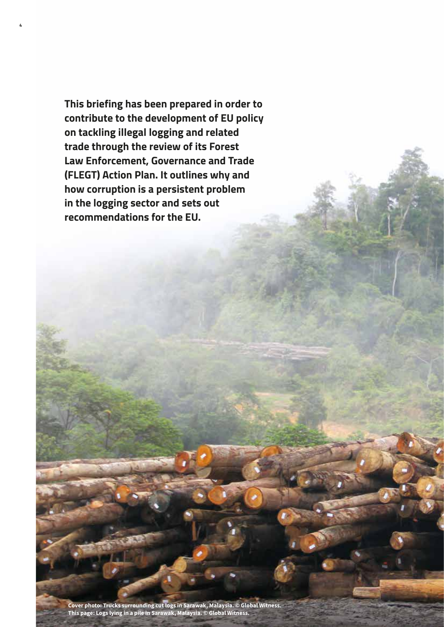**This briefing has been prepared in order to contribute to the development of EU policy on tackling illegal logging and related trade through the review of its Forest Law Enforcement, Governance and Trade (FLEGT) Action Plan. It outlines why and how corruption is a persistent problem in the logging sector and sets out recommendations for the EU.**

**4**

**Cover photo: Trucks surrounding cut logs in Sarawak, Malaysia. © Global Witness. This page: Logs lying in a pile in Sarawak, Malaysia. © Global Witness.**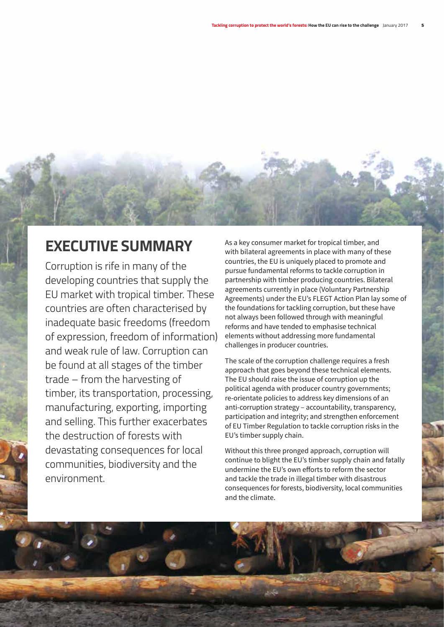# **EXECUTIVE SUMMARY**

Corruption is rife in many of the developing countries that supply the EU market with tropical timber. These countries are often characterised by inadequate basic freedoms (freedom of expression, freedom of information) and weak rule of law. Corruption can be found at all stages of the timber trade – from the harvesting of timber, its transportation, processing, manufacturing, exporting, importing and selling. This further exacerbates the destruction of forests with devastating consequences for local communities, biodiversity and the environment.

As a key consumer market for tropical timber, and with bilateral agreements in place with many of these countries, the EU is uniquely placed to promote and pursue fundamental reforms to tackle corruption in partnership with timber producing countries. Bilateral agreements currently in place (Voluntary Partnership Agreements) under the EU's FLEGT Action Plan lay some of the foundations for tackling corruption, but these have not always been followed through with meaningful reforms and have tended to emphasise technical elements without addressing more fundamental challenges in producer countries.

The scale of the corruption challenge requires a fresh approach that goes beyond these technical elements. The EU should raise the issue of corruption up the political agenda with producer country governments; re-orientate policies to address key dimensions of an anti-corruption strategy – accountability, transparency, participation and integrity; and strengthen enforcement of EU Timber Regulation to tackle corruption risks in the EU's timber supply chain.

Without this three pronged approach, corruption will continue to blight the EU's timber supply chain and fatally undermine the EU's own efforts to reform the sector and tackle the trade in illegal timber with disastrous consequences for forests, biodiversity, local communities and the climate.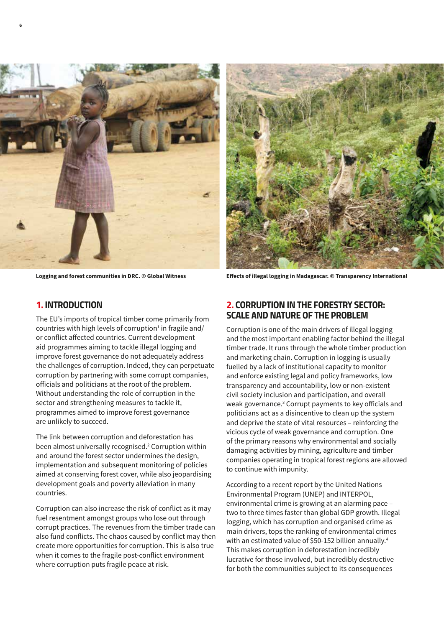



**Logging and forest communities in DRC. © Global Witness Effects of illegal logging in Madagascar. © Transparency International** 

#### *1. INTRODUCTION*

**6**

The EU's imports of tropical timber come primarily from countries with high levels of corruption $^1$  in fragile and/ or conflict affected countries. Current development aid programmes aiming to tackle illegal logging and improve forest governance do not adequately address the challenges of corruption. Indeed, they can perpetuate corruption by partnering with some corrupt companies, officials and politicians at the root of the problem. Without understanding the role of corruption in the sector and strengthening measures to tackle it, programmes aimed to improve forest governance are unlikely to succeed.

The link between corruption and deforestation has been almost universally recognised.<sup>2</sup> Corruption within and around the forest sector undermines the design, implementation and subsequent monitoring of policies aimed at conserving forest cover, while also jeopardising development goals and poverty alleviation in many countries.

Corruption can also increase the risk of conflict as it may fuel resentment amongst groups who lose out through corrupt practices. The revenues from the timber trade can also fund conflicts. The chaos caused by conflict may then create more opportunities for corruption. This is also true when it comes to the fragile post-conflict environment where corruption puts fragile peace at risk.

### *2. CORRUPTION IN THE FORESTRY SECTOR: SCALE AND NATURE OF THE PROBLEM*

Corruption is one of the main drivers of illegal logging and the most important enabling factor behind the illegal timber trade. It runs through the whole timber production and marketing chain. Corruption in logging is usually fuelled by a lack of institutional capacity to monitor and enforce existing legal and policy frameworks, low transparency and accountability, low or non-existent civil society inclusion and participation, and overall weak governance.<sup>3</sup> Corrupt payments to key officials and politicians act as a disincentive to clean up the system and deprive the state of vital resources – reinforcing the vicious cycle of weak governance and corruption. One of the primary reasons why environmental and socially damaging activities by mining, agriculture and timber companies operating in tropical forest regions are allowed to continue with impunity.

According to a recent report by the United Nations Environmental Program (UNEP) and INTERPOL, environmental crime is growing at an alarming pace – two to three times faster than global GDP growth. Illegal logging, which has corruption and organised crime as main drivers, tops the ranking of environmental crimes with an estimated value of \$50-152 billion annually.<sup>4</sup> This makes corruption in deforestation incredibly lucrative for those involved, but incredibly destructive for both the communities subject to its consequences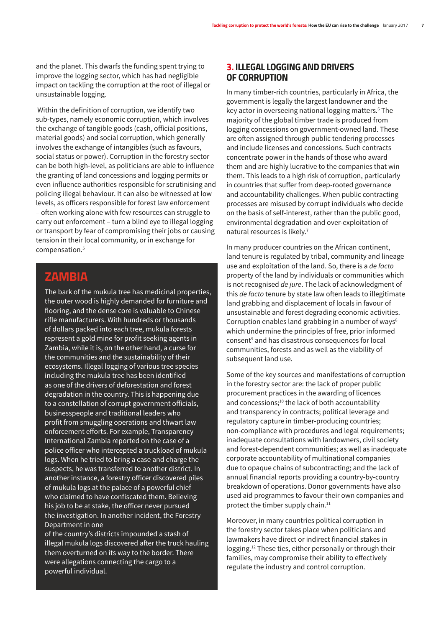and the planet. This dwarfs the funding spent trying to improve the logging sector, which has had negligible impact on tackling the corruption at the root of illegal or unsustainable logging.

 Within the definition of corruption, we identify two sub-types, namely economic corruption, which involves the exchange of tangible goods (cash, official positions, material goods) and social corruption, which generally involves the exchange of intangibles (such as favours, social status or power). Corruption in the forestry sector can be both high-level, as politicians are able to influence the granting of land concessions and logging permits or even influence authorities responsible for scrutinising and policing illegal behaviour. It can also be witnessed at low levels, as officers responsible for forest law enforcement – often working alone with few resources can struggle to carry out enforcement – turn a blind eye to illegal logging or transport by fear of compromising their jobs or causing tension in their local community, or in exchange for compensation.5

# **ZAMBIA**

The bark of the mukula tree has medicinal properties, the outer wood is highly demanded for furniture and flooring, and the dense core is valuable to Chinese rifle manufacturers. With hundreds or thousands of dollars packed into each tree, mukula forests represent a gold mine for profit seeking agents in Zambia, while it is, on the other hand, a curse for the communities and the sustainability of their ecosystems. Illegal logging of various tree species including the mukula tree has been identified as one of the drivers of deforestation and forest degradation in the country. This is happening due to a constellation of corrupt government officials, businesspeople and traditional leaders who profit from smuggling operations and thwart law enforcement efforts. For example, Transparency International Zambia reported on the case of a police officer who intercepted a truckload of mukula logs. When he tried to bring a case and charge the suspects, he was transferred to another district. In another instance, a forestry officer discovered piles of mukula logs at the palace of a powerful chief who claimed to have confiscated them. Believing his job to be at stake, the officer never pursued the investigation. In another incident, the Forestry Department in one

of the country's districts impounded a stash of illegal mukula logs discovered after the truck hauling them overturned on its way to the border. There were allegations connecting the cargo to a powerful individual.

### *3. ILLEGAL LOGGING AND DRIVERS OF CORRUPTION*

In many timber-rich countries, particularly in Africa, the government is legally the largest landowner and the key actor in overseeing national logging matters.6 The majority of the global timber trade is produced from logging concessions on government-owned land. These are often assigned through public tendering processes and include licenses and concessions. Such contracts concentrate power in the hands of those who award them and are highly lucrative to the companies that win them. This leads to a high risk of corruption, particularly in countries that suffer from deep-rooted governance and accountability challenges. When public contracting processes are misused by corrupt individuals who decide on the basis of self-interest, rather than the public good, environmental degradation and over-exploitation of natural resources is likely.7

In many producer countries on the African continent, land tenure is regulated by tribal, community and lineage use and exploitation of the land. So, there is a *de facto* property of the land by individuals or communities which is not recognised *de jure*. The lack of acknowledgment of this *de facto* tenure by state law often leads to illegitimate land grabbing and displacement of locals in favour of unsustainable and forest degrading economic activities. Corruption enables land grabbing in a number of ways<sup>8</sup> which undermine the principles of free, prior informed consent9 and has disastrous consequences for local communities, forests and as well as the viability of subsequent land use.

Some of the key sources and manifestations of corruption in the forestry sector are: the lack of proper public procurement practices in the awarding of licences and concessions;<sup>10</sup> the lack of both accountability and transparency in contracts; political leverage and regulatory capture in timber-producing countries; non-compliance with procedures and legal requirements; inadequate consultations with landowners, civil society and forest-dependent communities; as well as inadequate corporate accountability of multinational companies due to opaque chains of subcontracting; and the lack of annual financial reports providing a country-by-country breakdown of operations. Donor governments have also used aid programmes to favour their own companies and protect the timber supply chain.<sup>11</sup>

Moreover, in many countries political corruption in the forestry sector takes place when politicians and lawmakers have direct or indirect financial stakes in logging.12 These ties, either personally or through their families, may compromise their ability to effectively regulate the industry and control corruption.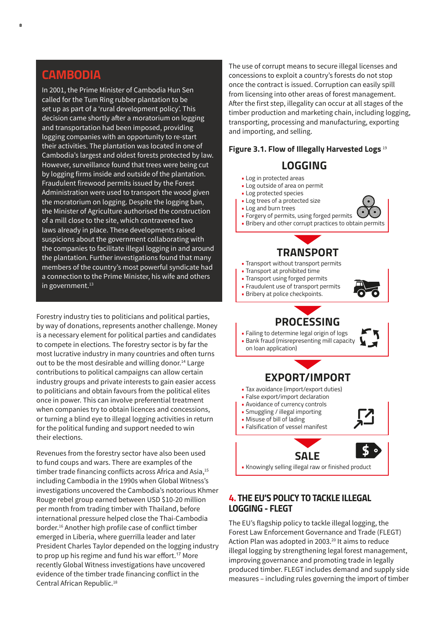### **CAMBODIA**

In 2001, the Prime Minister of Cambodia Hun Sen called for the Tum Ring rubber plantation to be set up as part of a 'rural development policy'. This decision came shortly after a moratorium on logging and transportation had been imposed, providing logging companies with an opportunity to re-start their activities. The plantation was located in one of Cambodia's largest and oldest forests protected by law. However, surveillance found that trees were being cut by logging firms inside and outside of the plantation. Fraudulent firewood permits issued by the Forest Administration were used to transport the wood given the moratorium on logging. Despite the logging ban, the Minister of Agriculture authorised the construction of a mill close to the site, which contravened two laws already in place. These developments raised suspicions about the government collaborating with the companies to facilitate illegal logging in and around the plantation. Further investigations found that many members of the country's most powerful syndicate had a connection to the Prime Minister, his wife and others in government.<sup>13</sup>

Forestry industry ties to politicians and political parties, by way of donations, represents another challenge. Money is a necessary element for political parties and candidates to compete in elections. The forestry sector is by far the most lucrative industry in many countries and often turns out to be the most desirable and willing donor.<sup>14</sup> Large contributions to political campaigns can allow certain industry groups and private interests to gain easier access to politicians and obtain favours from the political elites once in power. This can involve preferential treatment when companies try to obtain licences and concessions, or turning a blind eye to illegal logging activities in return for the political funding and support needed to win their elections.

Revenues from the forestry sector have also been used to fund coups and wars. There are examples of the timber trade financing conflicts across Africa and Asia,<sup>15</sup> including Cambodia in the 1990s when Global Witness's investigations uncovered the Cambodia's notorious Khmer Rouge rebel group earned between USD \$10-20 million per month from trading timber with Thailand, before international pressure helped close the Thai-Cambodia border.16 Another high profile case of conflict timber emerged in Liberia, where guerrilla leader and later President Charles Taylor depended on the logging industry to prop up his regime and fund his war effort.<sup>17</sup> More recently Global Witness investigations have uncovered evidence of the timber trade financing conflict in the Central African Republic.<sup>18</sup>

The use of corrupt means to secure illegal licenses and concessions to exploit a country's forests do not stop once the contract is issued. Corruption can easily spill from licensing into other areas of forest management. After the first step, illegality can occur at all stages of the timber production and marketing chain, including logging, transporting, processing and manufacturing, exporting and importing, and selling.

#### **Figure 3.1. Flow of Illegally Harvested Logs** <sup>19</sup>

# **LOGGING**

- Log in protected areas
- Log outside of area on permit • Log protected species
- Log trees of a protected size
- Log and burn trees
- Forgery of permits, using forged permits
- Bribery and other corrupt practices to obtain permits



- Transport without transport permits
- Transport at prohibited time
- Transport using forged permits
- Fraudulent use of transport permits
- Bribery at police checkpoints.



## **PROCESSING**

• Failing to determine legal origin of logs • Bank fraud (misrepresenting mill capacity on loan application)



• Knowingly selling illegal raw or finished product

### *4. THE EU'S POLICY TO TACKLE ILLEGAL LOGGING - FLEGT*

The EU's flagship policy to tackle illegal logging, the Forest Law Enforcement Governance and Trade (FLEGT) Action Plan was adopted in 2003.<sup>20</sup> It aims to reduce illegal logging by strengthening legal forest management, improving governance and promoting trade in legally produced timber. FLEGT includes demand and supply side measures – including rules governing the import of timber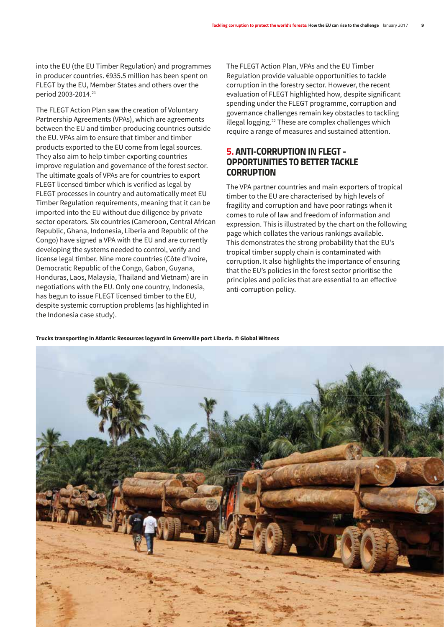into the EU (the EU Timber Regulation) and programmes in producer countries. €935.5 million has been spent on FLEGT by the EU, Member States and others over the period 2003-2014.21

The FLEGT Action Plan saw the creation of Voluntary Partnership Agreements (VPAs), which are agreements between the EU and timber-producing countries outside the EU. VPAs aim to ensure that timber and timber products exported to the EU come from legal sources. They also aim to help timber-exporting countries improve regulation and governance of the forest sector. The ultimate goals of VPAs are for countries to export FLEGT licensed timber which is verified as legal by FLEGT processes in country and automatically meet EU Timber Regulation requirements, meaning that it can be imported into the EU without due diligence by private sector operators. Six countries (Cameroon, Central African Republic, Ghana, Indonesia, Liberia and Republic of the Congo) have signed a VPA with the EU and are currently developing the systems needed to control, verify and license legal timber. Nine more countries (Côte d'Ivoire, Democratic Republic of the Congo, Gabon, Guyana, Honduras, Laos, Malaysia, Thailand and Vietnam) are in negotiations with the EU. Only one country, Indonesia, has begun to issue FLEGT licensed timber to the EU, despite systemic corruption problems (as highlighted in the Indonesia case study).

The FLEGT Action Plan, VPAs and the EU Timber Regulation provide valuable opportunities to tackle corruption in the forestry sector. However, the recent evaluation of FLEGT highlighted how, despite significant spending under the FLEGT programme, corruption and governance challenges remain key obstacles to tackling illegal logging.22 These are complex challenges which require a range of measures and sustained attention.

### *5. ANTI-CORRUPTION IN FLEGT - OPPORTUNITIES TO BETTER TACKLE CORRUPTION*

The VPA partner countries and main exporters of tropical timber to the EU are characterised by high levels of fragility and corruption and have poor ratings when it comes to rule of law and freedom of information and expression. This is illustrated by the chart on the following page which collates the various rankings available. This demonstrates the strong probability that the EU's tropical timber supply chain is contaminated with corruption. It also highlights the importance of ensuring that the EU's policies in the forest sector prioritise the principles and policies that are essential to an effective anti-corruption policy.

**Trucks transporting in Atlantic Resources logyard in Greenville port Liberia. © Global Witness** 

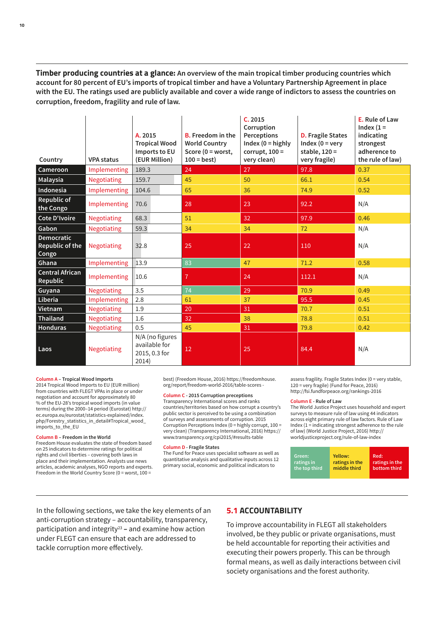**Timber producing countries at a glance: An overview of the main tropical timber producing countries which account for 80 percent of EU's imports of tropical timber and have a Voluntary Partnership Agreement in place with the EU. The ratings used are publicly available and cover a wide range of indictors to assess the countries on corruption, freedom, fragility and rule of law.**

| Country                                | <b>VPA status</b>   | A. 2015<br><b>Tropical Wood</b><br>Imports to EU<br>(EUR Million) | <b>B.</b> Freedom in the<br><b>World Country</b><br>Score ( $0 =$ worst,<br>$100 = best$ ) | C.2015<br>Corruption<br>Perceptions<br>Index ( $0 =$ highly<br>corrupt, $100 =$<br>very clean) | <b>D.</b> Fragile States<br>Index ( $0 = \text{very}$<br>stable, $120 =$<br>very fragile) | E. Rule of Law<br>Index $(1 =$<br>indicating<br>strongest<br>adherence to<br>the rule of law) |
|----------------------------------------|---------------------|-------------------------------------------------------------------|--------------------------------------------------------------------------------------------|------------------------------------------------------------------------------------------------|-------------------------------------------------------------------------------------------|-----------------------------------------------------------------------------------------------|
| Cameroon                               | Implementing        | 189.3                                                             | 24                                                                                         | 27                                                                                             | 97.8                                                                                      | 0.37                                                                                          |
| Malaysia                               | Negotiating         | 159.7                                                             | 45                                                                                         | 50                                                                                             | 66.1                                                                                      | 0.54                                                                                          |
| Indonesia                              | Implementing        | 104.6                                                             | 65                                                                                         | 36                                                                                             | 74.9                                                                                      | 0.52                                                                                          |
| Republic of<br>the Congo               | <b>Implementing</b> | 70.6                                                              | 28                                                                                         | 23                                                                                             | 92.2                                                                                      | N/A                                                                                           |
| Cote D'Ivoire                          | <b>Negotiating</b>  | 68.3                                                              | 51                                                                                         | 32                                                                                             | 97.9                                                                                      | 0.46                                                                                          |
| Gabon                                  | Negotiating         | 59.3                                                              | 34                                                                                         | 34                                                                                             | 72                                                                                        | N/A                                                                                           |
| Democratic<br>Republic of the<br>Congo | <b>Negotiating</b>  | 32.8                                                              | 25                                                                                         | 22                                                                                             | 110                                                                                       | N/A                                                                                           |
| Ghana                                  | Implementing        | 13.9                                                              | 83                                                                                         | 47                                                                                             | 71.2                                                                                      | 0.58                                                                                          |
| <b>Central African</b><br>Republic     | Implementing        | 10.6                                                              | $\overline{7}$                                                                             | 24                                                                                             | 112.1                                                                                     | N/A                                                                                           |
| Guyana                                 | Negotiating         | 3.5                                                               | 74                                                                                         | 29                                                                                             | 70.9                                                                                      | 0.49                                                                                          |
| Liberia                                | Implementing        | 2.8                                                               | 61                                                                                         | 37                                                                                             | 95.5                                                                                      | 0.45                                                                                          |
| Vietnam                                | Negotiating         | 1.9                                                               | 20                                                                                         | 31                                                                                             | 70.7                                                                                      | 0.51                                                                                          |
| Thailand                               | <b>Negotiating</b>  | 1.6                                                               | 32                                                                                         | 38                                                                                             | 78.8                                                                                      | 0.51                                                                                          |
| Honduras                               | <b>Negotiating</b>  | 0.5                                                               | 45                                                                                         | 31                                                                                             | 79.8                                                                                      | 0.42                                                                                          |
| Laos                                   | Negotiating         | N/A (no figures<br>available for<br>2015, 0.3 for<br>2014)        | 12                                                                                         | 25                                                                                             | 84.4                                                                                      | N/A                                                                                           |

#### **Column A – Tropical Wood Imports**

2014 Tropical Wood Imports to EU (EUR million) from countries with FLEGT VPAs in place or under negotiation and account for approximately 80 % of the EU-28's tropical wood imports (in value terms) during the 2000–14 period (Eurostat) http:// ec.europa.eu/eurostat/statistics-explained/index. php/Forestry\_statistics\_in\_detail#Tropical\_wood imports\_to\_the\_EU

#### **Column B – Freedom in the World**

Freedom House evaluates the state of freedom based on 25 indicators to determine ratings for political rights and civil liberties – covering both laws in place and their implementation. Analysts use news articles, academic analyses, NGO reports and experts. Freedom in the World Country Score (0 = worst, 100 =

best) (Freedom House, 2016) https://freedomhouse. org/report/freedom-world-2016/table-scores -

#### **Column C - 2015 Corruption preceptions**

Transparency International scores and ranks countries/territories based on how corrupt a country's public sector is perceived to be using a combination of surveys and assessments of corruption. 2015 Corruption Perceptions Index (0 = highly corrupt, 100 = very clean) (Transparency International, 2016) https:// www.transparency.org/cpi2015/#results-table

#### **Column D - Fragile States**

The Fund for Peace uses specialist software as well as quantitative analysis and qualitative inputs across 12 primary social, economic and political indicators to

assess fragility. Fragile States Index (0 = very stable, 120 = very fragile) (Fund for Peace, 2016) http://fsi.fundforpeace.org/rankings-2016

#### **Column E - Rule of Law**

The World Justice Project uses household and expert surveys to measure rule of law using 44 indicators across eight primary rule of law factors. Rule of Law Index (1 = indicating strongest adherence to the rule of law) (World Justice Project, 2016) http:// worldjusticeproject.org/rule-of-law-index

| Green:        | Yellow:        | Red:           |
|---------------|----------------|----------------|
| ratings in    | ratings in the | ratings in the |
| the top third | middle third   | bottom third   |
|               |                |                |

In the following sections, we take the key elements of an anti-corruption strategy – accountability, transparency, participation and integrity23 **–** and examine how action under FLEGT can ensure that each are addressed to tackle corruption more effectively.

#### **5.1 ACCOUNTABILITY**

To improve accountability in FLEGT all stakeholders involved, be they public or private organisations, must be held accountable for reporting their activities and executing their powers properly. This can be through formal means, as well as daily interactions between civil society organisations and the forest authority.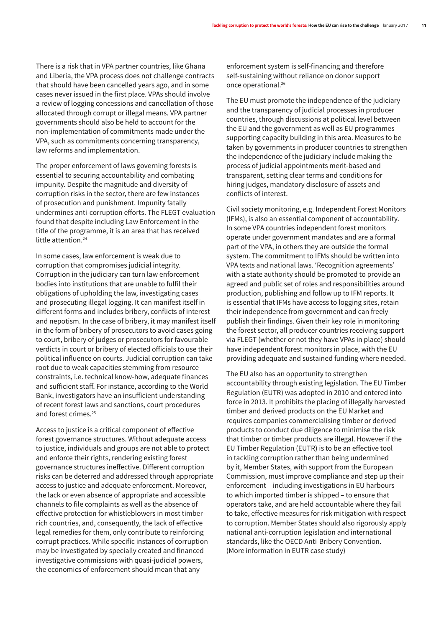There is a risk that in VPA partner countries, like Ghana and Liberia, the VPA process does not challenge contracts that should have been cancelled years ago, and in some cases never issued in the first place. VPAs should involve a review of logging concessions and cancellation of those allocated through corrupt or illegal means. VPA partner governments should also be held to account for the non-implementation of commitments made under the VPA, such as commitments concerning transparency, law reforms and implementation.

The proper enforcement of laws governing forests is essential to securing accountability and combating impunity. Despite the magnitude and diversity of corruption risks in the sector, there are few instances of prosecution and punishment. Impunity fatally undermines anti-corruption efforts. The FLEGT evaluation found that despite including Law Enforcement in the title of the programme, it is an area that has received little attention.<sup>24</sup>

In some cases, law enforcement is weak due to corruption that compromises judicial integrity. Corruption in the judiciary can turn law enforcement bodies into institutions that are unable to fulfil their obligations of upholding the law, investigating cases and prosecuting illegal logging. It can manifest itself in different forms and includes bribery, conflicts of interest and nepotism. In the case of bribery, it may manifest itself in the form of bribery of prosecutors to avoid cases going to court, bribery of judges or prosecutors for favourable verdicts in court or bribery of elected officials to use their political influence on courts. Judicial corruption can take root due to weak capacities stemming from resource constraints, i.e. technical know-how, adequate finances and sufficient staff. For instance, according to the World Bank, investigators have an insufficient understanding of recent forest laws and sanctions, court procedures and forest crimes.25

Access to justice is a critical component of effective forest governance structures. Without adequate access to justice, individuals and groups are not able to protect and enforce their rights, rendering existing forest governance structures ineffective. Different corruption risks can be deterred and addressed through appropriate access to justice and adequate enforcement. Moreover, the lack or even absence of appropriate and accessible channels to file complaints as well as the absence of effective protection for whistleblowers in most timberrich countries, and, consequently, the lack of effective legal remedies for them, only contribute to reinforcing corrupt practices. While specific instances of corruption may be investigated by specially created and financed investigative commissions with quasi-judicial powers, the economics of enforcement should mean that any

enforcement system is self-financing and therefore self-sustaining without reliance on donor support once operational.<sup>26</sup>

The EU must promote the independence of the judiciary and the transparency of judicial processes in producer countries, through discussions at political level between the EU and the government as well as EU programmes supporting capacity building in this area. Measures to be taken by governments in producer countries to strengthen the independence of the judiciary include making the process of judicial appointments merit-based and transparent, setting clear terms and conditions for hiring judges, mandatory disclosure of assets and conflicts of interest.

Civil society monitoring, e.g. Independent Forest Monitors (IFMs), is also an essential component of accountability. In some VPA countries independent forest monitors operate under government mandates and are a formal part of the VPA, in others they are outside the formal system. The commitment to IFMs should be written into VPA texts and national laws. 'Recognition agreements' with a state authority should be promoted to provide an agreed and public set of roles and responsibilities around production, publishing and follow up to IFM reports. It is essential that IFMs have access to logging sites, retain their independence from government and can freely publish their findings. Given their key role in monitoring the forest sector, all producer countries receiving support via FLEGT (whether or not they have VPAs in place) should have independent forest monitors in place, with the EU providing adequate and sustained funding where needed.

The EU also has an opportunity to strengthen accountability through existing legislation. The EU Timber Regulation (EUTR) was adopted in 2010 and entered into force in 2013. It prohibits the placing of illegally harvested timber and derived products on the EU Market and requires companies commercialising timber or derived products to conduct due diligence to minimise the risk that timber or timber products are illegal. However if the EU Timber Regulation (EUTR) is to be an effective tool in tackling corruption rather than being undermined by it, Member States, with support from the European Commission, must improve compliance and step up their enforcement – including investigations in EU harbours to which imported timber is shipped – to ensure that operators take, and are held accountable where they fail to take, effective measures for risk mitigation with respect to corruption. Member States should also rigorously apply national anti-corruption legislation and international standards, like the OECD Anti-Bribery Convention. (More information in EUTR case study)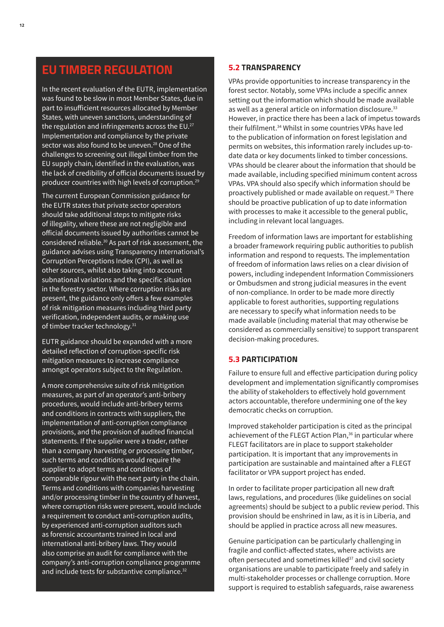# **EU TIMBER REGULATION**

In the recent evaluation of the EUTR, implementation was found to be slow in most Member States, due in part to insufficient resources allocated by Member States, with uneven sanctions, understanding of the regulation and infringements across the  $EU$ .<sup>27</sup> Implementation and compliance by the private sector was also found to be uneven.<sup>28</sup> One of the challenges to screening out illegal timber from the EU supply chain, identified in the evaluation, was the lack of credibility of official documents issued by producer countries with high levels of corruption.29

The current European Commission guidance for the EUTR states that private sector operators should take additional steps to mitigate risks of illegality, where these are not negligible and official documents issued by authorities cannot be considered reliable.30 As part of risk assessment, the guidance advises using Transparency International's Corruption Perceptions Index (CPI), as well as other sources, whilst also taking into account subnational variations and the specific situation in the forestry sector. Where corruption risks are present, the guidance only offers a few examples of risk mitigation measures including third party verification, independent audits, or making use of timber tracker technology.31

EUTR guidance should be expanded with a more detailed reflection of corruption-specific risk mitigation measures to increase compliance amongst operators subject to the Regulation.

A more comprehensive suite of risk mitigation measures, as part of an operator's anti-bribery procedures, would include anti-bribery terms and conditions in contracts with suppliers, the implementation of anti-corruption compliance provisions, and the provision of audited financial statements. If the supplier were a trader, rather than a company harvesting or processing timber, such terms and conditions would require the supplier to adopt terms and conditions of comparable rigour with the next party in the chain. Terms and conditions with companies harvesting and/or processing timber in the country of harvest, where corruption risks were present, would include a requirement to conduct anti-corruption audits, by experienced anti-corruption auditors such as forensic accountants trained in local and international anti-bribery laws. They would also comprise an audit for compliance with the company's anti-corruption compliance programme and include tests for substantive compliance.<sup>32</sup>

#### **5.2 TRANSPARENCY**

VPAs provide opportunities to increase transparency in the forest sector. Notably, some VPAs include a specific annex setting out the information which should be made available as well as a general article on information disclosure.<sup>33</sup> However, in practice there has been a lack of impetus towards their fulfilment.34 Whilst in some countries VPAs have led to the publication of information on forest legislation and permits on websites, this information rarely includes up-todate data or key documents linked to timber concessions. VPAs should be clearer about the information that should be made available, including specified minimum content across VPAs. VPA should also specify which information should be proactively published or made available on request.35 There should be proactive publication of up to date information with processes to make it accessible to the general public, including in relevant local languages.

Freedom of information laws are important for establishing a broader framework requiring public authorities to publish information and respond to requests. The implementation of freedom of information laws relies on a clear division of powers, including independent Information Commissioners or Ombudsmen and strong judicial measures in the event of non-compliance. In order to be made more directly applicable to forest authorities, supporting regulations are necessary to specify what information needs to be made available (including material that may otherwise be considered as commercially sensitive) to support transparent decision-making procedures.

#### **5.3 PARTICIPATION**

Failure to ensure full and effective participation during policy development and implementation significantly compromises the ability of stakeholders to effectively hold government actors accountable, therefore undermining one of the key democratic checks on corruption.

Improved stakeholder participation is cited as the principal achievement of the FLEGT Action Plan,<sup>36</sup> in particular where FLEGT facilitators are in place to support stakeholder participation. It is important that any improvements in participation are sustainable and maintained after a FLEGT facilitator or VPA support project has ended.

In order to facilitate proper participation all new draft laws, regulations, and procedures (like guidelines on social agreements) should be subject to a public review period. This provision should be enshrined in law, as it is in Liberia, and should be applied in practice across all new measures.

Genuine participation can be particularly challenging in fragile and conflict-affected states, where activists are often persecuted and sometimes killed<sup>37</sup> and civil society organisations are unable to participate freely and safely in multi-stakeholder processes or challenge corruption. More support is required to establish safeguards, raise awareness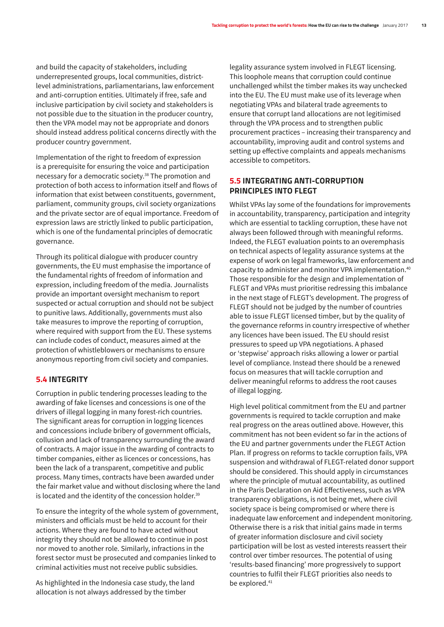and build the capacity of stakeholders, including underrepresented groups, local communities, districtlevel administrations, parliamentarians, law enforcement and anti-corruption entities. Ultimately if free, safe and inclusive participation by civil society and stakeholders is not possible due to the situation in the producer country, then the VPA model may not be appropriate and donors should instead address political concerns directly with the producer country government.

Implementation of the right to freedom of expression is a prerequisite for ensuring the voice and participation necessary for a democratic society.38 The promotion and protection of both access to information itself and flows of information that exist between constituents, government, parliament, community groups, civil society organizations and the private sector are of equal importance. Freedom of expression laws are strictly linked to public participation, which is one of the fundamental principles of democratic governance.

Through its political dialogue with producer country governments, the EU must emphasise the importance of the fundamental rights of freedom of information and expression, including freedom of the media. Journalists provide an important oversight mechanism to report suspected or actual corruption and should not be subject to punitive laws. Additionally, governments must also take measures to improve the reporting of corruption, where required with support from the EU. These systems can include codes of conduct, measures aimed at the protection of whistleblowers or mechanisms to ensure anonymous reporting from civil society and companies.

#### **5.4 INTEGRITY**

Corruption in public tendering processes leading to the awarding of fake licenses and concessions is one of the drivers of illegal logging in many forest-rich countries. The significant areas for corruption in logging licences and concessions include bribery of government officials, collusion and lack of transparency surrounding the award of contracts. A major issue in the awarding of contracts to timber companies, either as licences or concessions, has been the lack of a transparent, competitive and public process. Many times, contracts have been awarded under the fair market value and without disclosing where the land is located and the identity of the concession holder.<sup>39</sup>

To ensure the integrity of the whole system of government, ministers and officials must be held to account for their actions. Where they are found to have acted without integrity they should not be allowed to continue in post nor moved to another role. Similarly, infractions in the forest sector must be prosecuted and companies linked to criminal activities must not receive public subsidies.

As highlighted in the Indonesia case study, the land allocation is not always addressed by the timber

legality assurance system involved in FLEGT licensing. This loophole means that corruption could continue unchallenged whilst the timber makes its way unchecked into the EU. The EU must make use of its leverage when negotiating VPAs and bilateral trade agreements to ensure that corrupt land allocations are not legitimised through the VPA process and to strengthen public procurement practices – increasing their transparency and accountability, improving audit and control systems and setting up effective complaints and appeals mechanisms accessible to competitors.

#### **5.5 INTEGRATING ANTI-CORRUPTION PRINCIPLES INTO FLEGT**

Whilst VPAs lay some of the foundations for improvements in accountability, transparency, participation and integrity which are essential to tackling corruption, these have not always been followed through with meaningful reforms. Indeed, the FLEGT evaluation points to an overemphasis on technical aspects of legality assurance systems at the expense of work on legal frameworks, law enforcement and capacity to administer and monitor VPA implementation.40 Those responsible for the design and implementation of FLEGT and VPAs must prioritise redressing this imbalance in the next stage of FLEGT's development. The progress of FLEGT should not be judged by the number of countries able to issue FLEGT licensed timber, but by the quality of the governance reforms in country irrespective of whether any licences have been issued. The EU should resist pressures to speed up VPA negotiations. A phased or 'stepwise' approach risks allowing a lower or partial level of compliance. Instead there should be a renewed focus on measures that will tackle corruption and deliver meaningful reforms to address the root causes of illegal logging.

High level political commitment from the EU and partner governments is required to tackle corruption and make real progress on the areas outlined above. However, this commitment has not been evident so far in the actions of the EU and partner governments under the FLEGT Action Plan. If progress on reforms to tackle corruption fails, VPA suspension and withdrawal of FLEGT-related donor support should be considered. This should apply in circumstances where the principle of mutual accountability, as outlined in the Paris Declaration on Aid Effectiveness, such as VPA transparency obligations, is not being met, where civil society space is being compromised or where there is inadequate law enforcement and independent monitoring. Otherwise there is a risk that initial gains made in terms of greater information disclosure and civil society participation will be lost as vested interests reassert their control over timber resources. The potential of using 'results-based financing' more progressively to support countries to fulfil their FLEGT priorities also needs to be explored.<sup>41</sup>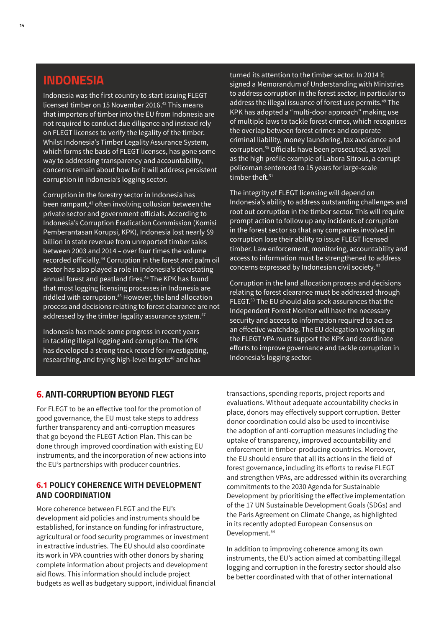# **INDONESIA**

Indonesia was the first country to start issuing FLEGT licensed timber on 15 November 2016.<sup>42</sup> This means that importers of timber into the EU from Indonesia are not required to conduct due diligence and instead rely on FLEGT licenses to verify the legality of the timber. Whilst Indonesia's Timber Legality Assurance System, which forms the basis of FLEGT licenses, has gone some way to addressing transparency and accountability, concerns remain about how far it will address persistent corruption in Indonesia's logging sector.

Corruption in the forestry sector in Indonesia has been rampant,<sup>43</sup> often involving collusion between the private sector and government officials. According to Indonesia's Corruption Eradication Commission (Komisi Pemberantasan Korupsi, KPK), Indonesia lost nearly \$9 billion in state revenue from unreported timber sales between 2003 and 2014 – over four times the volume recorded officially.<sup>44</sup> Corruption in the forest and palm oil sector has also played a role in Indonesia's devastating annual forest and peatland fires.<sup>45</sup> The KPK has found that most logging licensing processes in Indonesia are riddled with corruption.<sup>46</sup> However, the land allocation process and decisions relating to forest clearance are not addressed by the timber legality assurance system.<sup>47</sup>

Indonesia has made some progress in recent years in tackling illegal logging and corruption. The KPK has developed a strong track record for investigating, researching, and trying high-level targets<sup>48</sup> and has

turned its attention to the timber sector. In 2014 it signed a Memorandum of Understanding with Ministries to address corruption in the forest sector, in particular to address the illegal issuance of forest use permits.<sup>49</sup> The KPK has adopted a "multi-door approach" making use of multiple laws to tackle forest crimes, which recognises the overlap between forest crimes and corporate criminal liability, money laundering, tax avoidance and corruption.50 Officials have been prosecuted, as well as the high profile example of Labora Sitrous, a corrupt policeman sentenced to 15 years for large-scale timber theft.<sup>51</sup>

The integrity of FLEGT licensing will depend on Indonesia's ability to address outstanding challenges and root out corruption in the timber sector. This will require prompt action to follow up any incidents of corruption in the forest sector so that any companies involved in corruption lose their ability to issue FLEGT licensed timber. Law enforcement, monitoring, accountability and access to information must be strengthened to address concerns expressed by Indonesian civil society. 52

Corruption in the land allocation process and decisions relating to forest clearance must be addressed through FLEGT.53 The EU should also seek assurances that the Independent Forest Monitor will have the necessary security and access to information required to act as an effective watchdog. The EU delegation working on the FLEGT VPA must support the KPK and coordinate efforts to improve governance and tackle corruption in Indonesia's logging sector.

### *6. ANTI-CORRUPTION BEYOND FLEGT*

For FLEGT to be an effective tool for the promotion of good governance, the EU must take steps to address further transparency and anti-corruption measures that go beyond the FLEGT Action Plan. This can be done through improved coordination with existing EU instruments, and the incorporation of new actions into the EU's partnerships with producer countries.

#### **6.1 POLICY COHERENCE WITH DEVELOPMENT AND COORDINATION**

More coherence between FLEGT and the EU's development aid policies and instruments should be established, for instance on funding for infrastructure, agricultural or food security programmes or investment in extractive industries. The EU should also coordinate its work in VPA countries with other donors by sharing complete information about projects and development aid flows. This information should include project budgets as well as budgetary support, individual financial transactions, spending reports, project reports and evaluations. Without adequate accountability checks in place, donors may effectively support corruption. Better donor coordination could also be used to incentivise the adoption of anti-corruption measures including the uptake of transparency, improved accountability and enforcement in timber-producing countries. Moreover, the EU should ensure that all its actions in the field of forest governance, including its efforts to revise FLEGT and strengthen VPAs, are addressed within its overarching commitments to the 2030 Agenda for Sustainable Development by prioritising the effective implementation of the 17 UN Sustainable Development Goals (SDGs) and the Paris Agreement on Climate Change, as highlighted in its recently adopted European Consensus on Development.<sup>54</sup>

In addition to improving coherence among its own instruments, the EU's action aimed at combatting illegal logging and corruption in the forestry sector should also be better coordinated with that of other international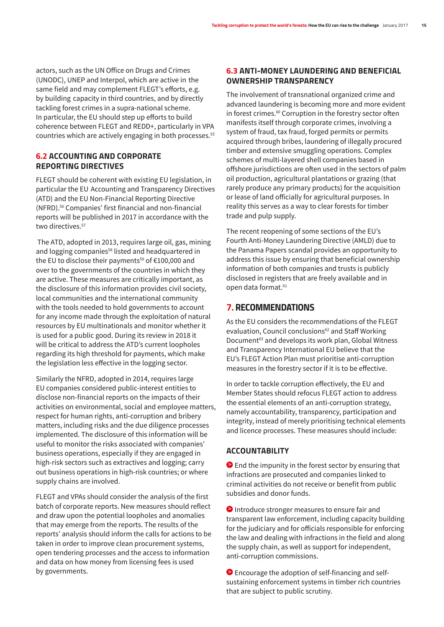actors, such as the UN Office on Drugs and Crimes (UNODC), UNEP and Interpol, which are active in the same field and may complement FLEGT's efforts, e.g. by building capacity in third countries, and by directly tackling forest crimes in a supra-national scheme. In particular, the EU should step up efforts to build coherence between FLEGT and REDD+, particularly in VPA countries which are actively engaging in both processes.<sup>55</sup>

#### **6.2 ACCOUNTING AND CORPORATE REPORTING DIRECTIVES**

FLEGT should be coherent with existing EU legislation, in particular the EU Accounting and Transparency Directives (ATD) and the EU Non-Financial Reporting Directive (NFRD).56 Companies' first financial and non-financial reports will be published in 2017 in accordance with the two directives.<sup>57</sup>

 The ATD, adopted in 2013, requires large oil, gas, mining and logging companies<sup>58</sup> listed and headquartered in the EU to disclose their payments<sup>59</sup> of  $€100,000$  and over to the governments of the countries in which they are active. These measures are critically important, as the disclosure of this information provides civil society, local communities and the international community with the tools needed to hold governments to account for any income made through the exploitation of natural resources by EU multinationals and monitor whether it is used for a public good. During its review in 2018 it will be critical to address the ATD's current loopholes regarding its high threshold for payments, which make the legislation less effective in the logging sector.

Similarly the NFRD, adopted in 2014, requires large EU companies considered public-interest entities to disclose non-financial reports on the impacts of their activities on environmental, social and employee matters, respect for human rights, anti-corruption and bribery matters, including risks and the due diligence processes implemented. The disclosure of this information will be useful to monitor the risks associated with companies' business operations, especially if they are engaged in high-risk sectors such as extractives and logging; carry out business operations in high-risk countries; or where supply chains are involved.

FLEGT and VPAs should consider the analysis of the first batch of corporate reports. New measures should reflect and draw upon the potential loopholes and anomalies that may emerge from the reports. The results of the reports' analysis should inform the calls for actions to be taken in order to improve clean procurement systems, open tendering processes and the access to information and data on how money from licensing fees is used by governments.

### **6.3 ANTI-MONEY LAUNDERING AND BENEFICIAL OWNERSHIP TRANSPARENCY**

The involvement of transnational organized crime and advanced laundering is becoming more and more evident in forest crimes.<sup>60</sup> Corruption in the forestry sector often manifests itself through corporate crimes, involving a system of fraud, tax fraud, forged permits or permits acquired through bribes, laundering of illegally procured timber and extensive smuggling operations. Complex schemes of multi-layered shell companies based in offshore jurisdictions are often used in the sectors of palm oil production, agricultural plantations or grazing (that rarely produce any primary products) for the acquisition or lease of land officially for agricultural purposes. In reality this serves as a way to clear forests for timber trade and pulp supply.

The recent reopening of some sections of the EU's Fourth Anti-Money Laundering Directive (AMLD) due to the Panama Papers scandal provides an opportunity to address this issue by ensuring that beneficial ownership information of both companies and trusts is publicly disclosed in registers that are freely available and in open data format.<sup>61</sup>

### *7. RECOMMENDATIONS*

As the EU considers the recommendations of the FLEGT evaluation, Council conclusions<sup>62</sup> and Staff Working Document<sup>63</sup> and develops its work plan, Global Witness and Transparency International EU believe that the EU's FLEGT Action Plan must prioritise anti-corruption measures in the forestry sector if it is to be effective.

In order to tackle corruption effectively, the EU and Member States should refocus FLEGT action to address the essential elements of an anti-corruption strategy, namely accountability, transparency, participation and integrity, instead of merely prioritising technical elements and licence processes. These measures should include:

#### **ACCOUNTABILITY**

**>** End the impunity in the forest sector by ensuring that infractions are prosecuted and companies linked to criminal activities do not receive or benefit from public subsidies and donor funds.

**>** Introduce stronger measures to ensure fair and transparent law enforcement, including capacity building for the judiciary and for officials responsible for enforcing the law and dealing with infractions in the field and along the supply chain, as well as support for independent, anti-corruption commissions.

**>** Encourage the adoption of self-financing and selfsustaining enforcement systems in timber rich countries that are subject to public scrutiny.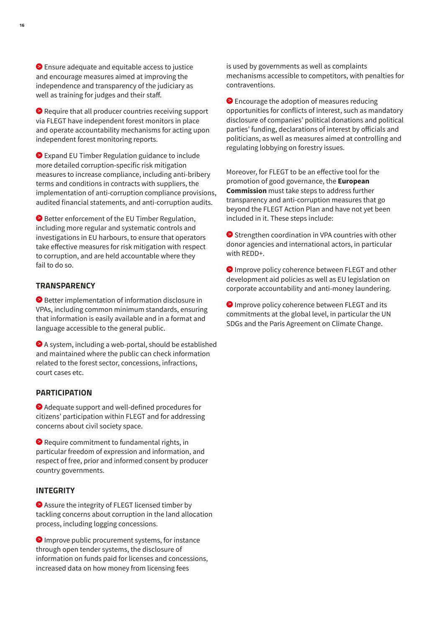**>** Ensure adequate and equitable access to justice and encourage measures aimed at improving the independence and transparency of the judiciary as well as training for judges and their staff.

**>** Require that all producer countries receiving support via FLEGT have independent forest monitors in place and operate accountability mechanisms for acting upon independent forest monitoring reports.

**>** Expand EU Timber Regulation guidance to include more detailed corruption-specific risk mitigation measures to increase compliance, including anti-bribery terms and conditions in contracts with suppliers, the implementation of anti-corruption compliance provisions, audited financial statements, and anti-corruption audits.

**>** Better enforcement of the EU Timber Regulation, including more regular and systematic controls and investigations in EU harbours, to ensure that operators take effective measures for risk mitigation with respect to corruption, and are held accountable where they fail to do so.

#### **TRANSPARENCY**

**>** Better implementation of information disclosure in VPAs, including common minimum standards, ensuring that information is easily available and in a format and language accessible to the general public.

**>** A system, including a web-portal, should be established and maintained where the public can check information related to the forest sector, concessions, infractions, court cases etc.

#### **PARTICIPATION**

**>** Adequate support and well-defined procedures for citizens' participation within FLEGT and for addressing concerns about civil society space.

**>** Require commitment to fundamental rights, in particular freedom of expression and information, and respect of free, prior and informed consent by producer country governments.

#### **INTEGRITY**

**>** Assure the integrity of FLEGT licensed timber by tackling concerns about corruption in the land allocation process, including logging concessions.

**>** Improve public procurement systems, for instance through open tender systems, the disclosure of information on funds paid for licenses and concessions, increased data on how money from licensing fees

is used by governments as well as complaints mechanisms accessible to competitors, with penalties for contraventions.

**>** Encourage the adoption of measures reducing opportunities for conflicts of interest, such as mandatory disclosure of companies' political donations and political parties' funding, declarations of interest by officials and politicians, as well as measures aimed at controlling and regulating lobbying on forestry issues.

Moreover, for FLEGT to be an effective tool for the promotion of good governance, the **European Commission** must take steps to address further transparency and anti-corruption measures that go beyond the FLEGT Action Plan and have not yet been included in it. These steps include:

**>** Strengthen coordination in VPA countries with other donor agencies and international actors, in particular with REDD+.

**>** Improve policy coherence between FLEGT and other development aid policies as well as EU legislation on corporate accountability and anti-money laundering.

**>** Improve policy coherence between FLEGT and its commitments at the global level, in particular the UN SDGs and the Paris Agreement on Climate Change.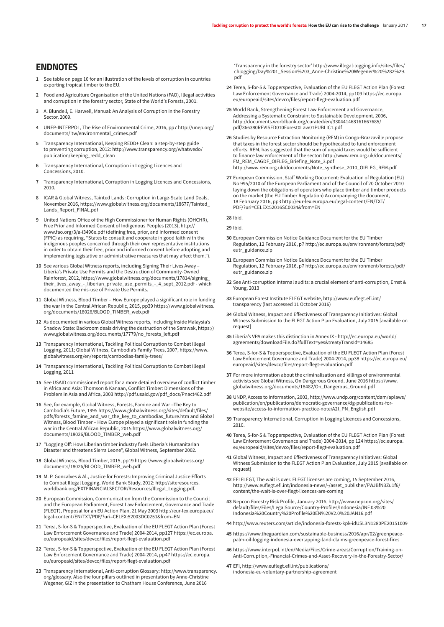#### *ENDNOTES*

- **1** See table on page 10 for an illustration of the levels of corruption in countries exporting tropical timber to the EU.
- **2** Food and Agriculture Organisation of the United Nations (FAO), Illegal activities and corruption in the forestry sector, State of the World's Forests, 2001.
- **3** A. Blundell, E. Harwell, Manual: An Analysis of Corruption in the Forestry Sector, 2009.
- **4** UNEP-INTERPOL, The Rise of Environmental Crime, 2016, pp7 http://unep.org/ documents/itw/environmental\_crimes.pdf
- **5** Transparency International, Keeping REDD+ Clean: a step-by-step guide to preventing corruption, 2012: http://www.transparency.org/whatwedo/ publication/keeping\_redd\_clean
- **6** Transparency International, Corruption in Logging Licences and Concessions, 2010.
- **7** Transparency International, Corruption in Logging Licences and Concessions, 2010.
- **8** ICAR & Global Witness, Tainted Lands: Corruption in Large-Scale Land Deals, November 2016, https://www.globalwitness.org/documents/18677/Tainted\_ Lands\_Report\_FINAL.pdf
- **9** United Nations Office of the High Commissioner for Human Rights (OHCHR), Free Prior and Informed Consent of Indigenous Peoples (2013), http:// www.fao.org/3/a-i3496e.pdf (defining free, prior, and informed consent (FPIC) as requiring, "States to consult and cooperate in good faith with the indigenous peoples concerned through their own representative institutions in order to obtain their free, prior and informed consent before adopting and implementing legislative or administrative measures that may affect them.").
- **10** See various Global Witness reports, including Signing Their Lives Away Liberia's Private Use Permits and the Destruction of Community-Owned Rainforest, 2012, https://www.globalwitness.org/documents/17814/signing\_ their\_lives\_away\_-\_liberian\_private\_use\_permits\_-\_4\_sept\_2012.pdf - which documented the mis-use of Private Use Permits.
- **11** Global Witness, Blood Timber How Europe played a significant role in funding the war in the Central African Republic, 2015, pp39 https://www.globalwitness. org/documents/18026/BLOOD\_TIMBER\_web.pdf
- **12** As documented in various Global Witness reports, including Inside Malaysia's Shadow State: Backroom deals driving the destruction of the Sarawak, https:// www.globalwitness.org/documents/17779/no\_forests\_left.pdf
- **13** Transparency International, Tackling Political Corruption to Combat Illegal Logging, 2011; Global Witness, Cambodia's Family Trees, 2007, https://www. globalwitness.org/en/reports/cambodias-family-trees/
- **14** Transparency International, Tackling Political Corruption to Combat Illegal Logging, 2011
- **15** See USAID commissioned report for a more detailed overview of conflict timber in Africa and Asia: Thomson & Kanaan, Conflict Timber: Dimensions of the Problem in Asia and Africa, 2003 http://pdf.usaid.gov/pdf\_docs/Pnact462.pdf
- **16** See, for example, Global Witness, Forests, Famine and War –The Key to Cambodia's Future, 1995 https://www.globalwitness.org/sites/default/files/ pdfs/forests\_famine\_and\_war\_the\_key\_to\_cambodias\_future.htm and Global Witness, Blood Timber – How Europe played a significant role in funding the war in the Central African Republic, 2015 https://www.globalwitness.org/ documents/18026/BLOOD\_TIMBER\_web.pdf
- **17** "Logging Off: How Liberian timber industry fuels Liberia's Humanitarian Disaster and threatens Sierra Leone", Global Witness, September 2002.
- **18** Global Witness, Blood Timber, 2015, pp19 https://www.globalwitness.org/ documents/18026/BLOOD\_TIMBER\_web.pdf
- **19** M. P. Goncalves & Al., Justice for Forests: Improving Criminal Justice Efforts to Combat Illegal Logging, World Bank Study, 2012: http://siteresources. worldbank.org/EXTFINANCIALSECTOR/Resources/Illegal\_Logging.pdf.
- **20** European Commission, Communication from the Commission to the Council and the European Parliament, Forest Law Enforcement, Governance and Trade (FLEGT), Proposal for an EU Action Plan, 21 May 2003 http://eur-lex.europa.eu/ legal-content/EN/TXT/PDF/?uri=CELEX:52003DC0251&from=EN
- **21** Terea, S-for-S & Topperspective, Evaluation of the EU FLEGT Action Plan (Forest Law Enforcement Governance and Trade) 2004-2014, pp127 https://ec.europa. eu/europeaid/sites/devco/files/report-flegt-evaluation.pdf
- **22** Terea, S-for-S & Topperspective, Evaluation of the EU FLEGT Action Plan (Forest Law Enforcement Governance and Trade) 2004-2014, pp47 https://ec.europa. eu/europeaid/sites/devco/files/report-flegt-evaluation.pdf
- **23** Transparency International, Anti-corruption Glossary: http://www.transparency. org/glossary. Also the four pillars outlined in presentation by Anne-Christine Wegener, GIZ in the presentation to Chatham House Conference, June 2016

'Transparency in the forestry sector' http://www.illegal-logging.info/sites/files/ chlogging/Day%201\_Session%203\_Anne-Christine%20Wegener%20%282%29. pdf

- **24** Terea, S-for-S & Topperspective, Evaluation of the EU FLEGT Action Plan (Forest Law Enforcement Governance and Trade) 2004-2014, pp109 https://ec.europa. eu/europeaid/sites/devco/files/report-flegt-evaluation.pdf
- **25** World Bank, Strengthening Forest Law Enforcement and Governance, Addressing a Systematic Constraint to Sustainable Development, 2006, http://documents.worldbank.org/curated/en/330441468161667685/ pdf/366380REVISED010Forest0Law01PUBLIC1.pdf
- **26** Studies by Resource Extraction Monitoring (REM) in Congo-Brazzaville propose that taxes in the forest sector should be hypothecated to fund enforcement efforts. REM, has suggested that the sum of unpaid taxes would be sufficient to finance law enforcement of the sector: http://www.rem.org.uk/documents/ FM\_REM\_CAGDF\_OIFLEG\_Briefing\_Note\_3.pdf http://www.rem.org.uk/documents/Note\_synthese\_2010\_OIFLEG\_REM.pdf
- **27** European Commission, Staff Working Document: Evaluation of Regulation (EU) No 995/2010 of the European Parliament and of the Council of 20 October 2010 laying down the obligations of operators who place timber and timber products on the market (the EU Timber Regulation) Accompanying the document, 18 February 2016, pp3 http://eur-lex.europa.eu/legal-content/EN/TXT/ PDF/?uri=CELEX:52016SC0034&from=EN

#### **28** Ibid.

#### **29** Ibid.

- **30** European Commission Notice Guidance Document for the EU Timber Regulation, 12 February 2016, p7 http://ec.europa.eu/environment/forests/pdf/ eutr\_guidance.zip
- **31** European Commission Notice Guidance Document for the EU Timber Regulation, 12 February 2016, p7 http://ec.europa.eu/environment/forests/pdf/ eutr\_guidance.zip
- **32** See Anti-corruption internal audits: a crucial element of anti-corruption, Ernst & Young, 2013
- **33** European Forest Institute FLEGT website, http://www.euflegt.efi.int/ transparency (last accessed 11 October 2016)
- **34** Global Witness, Impact and Effectiveness of Transparency Initiatives: Global Witness Submission to the FLEGT Action Plan Evaluation, July 2015 [available on request]
- **35** Liberia's VPA makes this distinction in Annex IX http://ec.europa.eu/world/ agreements/downloadFile.do?fullText=yes&treatyTransId=14685
- **36** Terea, S-for-S & Topperspective, Evaluation of the EU FLEGT Action Plan (Forest Law Enforcement Governance and Trade) 2004-2014, pp38 https://ec.europa.eu/ europeaid/sites/devco/files/report-flegt-evaluation.pdf
- **37** For more information about the criminalisation and killings of environmental activists see Global Witness, On Dangerous Ground, June 2016 https://www. globalwitness.org/documents/18482/On\_Dangerous\_Ground.pdf
- **38** UNDP, Access to information, 2003, http://www.undp.org/content/dam/aplaws/ publication/en/publications/democratic-governance/dg-publications-forwebsite/access-to-information-practice-note/A2I\_PN\_English.pdf
- **39** Transparency International, Corruption in Logging Licences and Concessions, 2010.
- **40** Terea, S-for-S & Topperspective, Evaluation of the EU FLEGT Action Plan (Forest Law Enforcement Governance and Trade) 2004-2014, pp 124 https://ec.europa. eu/europeaid/sites/devco/files/report-flegt-evaluation.pdf
- **41** Global Witness, Impact and Effectiveness of Transparency Initiatives: Global Witness Submission to the FLEGT Action Plan Evaluation, July 2015 [available on request]
- **42** EFI FLEGT, The wait is over. FLEGT licenses are coming, 15 September 2016, http://www.euflegt.efi.int/indonesia-news/-/asset\_publisher/FWJBfN3Zu1f6/ content/the-wait-is-over-flegt-licences-are-coming
- **43** Nepcon Forestry Risk Profile, January 2016, http://www.nepcon.org/sites/ default/files/Files/LegalSource/Country-Profiles/Indonesia/INF.03%20 Indonesia%20Country%20Profile%20EN%20V2.0%20JAN16.pdf
- **44** http://www.reuters.com/article/indonesia-forests-kpk-idUSL3N1280PE20151009
- **45** https://www.theguardian.com/sustainable-business/2016/apr/02/greenpeacepalm-oil-logging-indonesia-overlapping-land-claims-greenpeace-forest-fires
- **46** https://www.interpol.int/en/Media/Files/Crime-areas/Corruption/Training-on-Anti-Corruption,-Financial-Crimes-and-Asset-Recovery-in-the-Forestry-Sector/
- **47** EFI, http://www.euflegt.efi.int/publications/ indonesia-eu-voluntary-partnership-agreement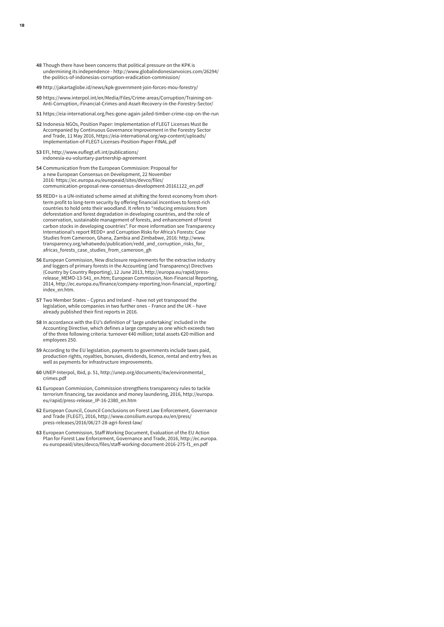- **48** Though there have been concerns that political pressure on the KPK is undermining its independence - http://www.globalindonesianvoices.com/26294/ the-politics-of-indonesias-corruption-eradication-commission/
- **49** http://jakartaglobe.id/news/kpk-government-join-forces-mou-forestry/
- **50** https://www.interpol.int/en/Media/Files/Crime-areas/Corruption/Training-on-Anti-Corruption,-Financial-Crimes-and-Asset-Recovery-in-the-Forestry-Sector/
- **51** https://eia-international.org/hes-gone-again-jailed-timber-crime-cop-on-the-run
- **52** Indonesia NGOs, Position Paper: Implementation of FLEGT Licenses Must Be Accompanied by Continuous Governance Improvement in the Forestry Sector and Trade, 11 May 2016, https://eia-international.org/wp-content/uploads/ Implementation-of-FLEGT-Licenses-Position-Paper-FINAL.pdf
- **53** EFI, http://www.euflegt.efi.int/publications/ indonesia-eu-voluntary-partnership-agreement
- **54** Communication from the European Commission: Proposal for a new European Consensus on Development, 22 November 2016: https://ec.europa.eu/europeaid/sites/devco/files/ communication-proposal-new-consensus-development-20161122\_en.pdf
- **55** REDD+ is a UN-initiated scheme aimed at shifting the forest economy from shortterm profit to long-term security by offering financial incentives to forest-rich countries to hold onto their woodland. It refers to "reducing emissions from deforestation and forest degradation in developing countries, and the role of conservation, sustainable management of forests, and enhancement of forest carbon stocks in developing countries". For more information see Transparency International's report REDD+ and Corruption Risks for Africa's Forests: Case Studies from Cameroon, Ghana, Zambia and Zimbabwe, 2016: http://www. transparency.org/whatwedo/publication/redd\_and\_corruption\_risks\_for\_ africas\_forests\_case\_studies\_from\_cameroon\_gh
- **56** European Commission, New disclosure requirements for the extractive industry and loggers of primary forests in the Accounting (and Transparency) Directives (Country by Country Reporting), 12 June 2013, http://europa.eu/rapid/pressrelease\_MEMO-13-541\_en.htm; European Commission, Non-Financial Reporting, 2014, http://ec.europa.eu/finance/company-reporting/non-financial\_reporting/ index\_en.htm.
- **57** Two Member States Cyprus and Ireland have not yet transposed the legislation, while companies in two further ones – France and the UK – have already published their first reports in 2016.
- **58** In accordance with the EU's definition of 'large undertaking' included in the Accounting Directive, which defines a large company as one which exceeds two of the three following criteria: turnover €40 million; total assets €20 million and employees 250.
- **59** According to the EU legislation, payments to governments include taxes paid, production rights, royalties, bonuses, dividends, licence, rental and entry fees as well as payments for infrastructure improvements.
- **60** UNEP-Interpol, Ibid, p. 51, http://unep.org/documents/itw/environmental\_ crimes.pdf
- **61** European Commission, Commission strengthens transparency rules to tackle terrorism financing, tax avoidance and money laundering, 2016, http://europa. eu/rapid/press-release\_IP-16-2380\_en.html
- **62** European Council, Council Conclusions on Forest Law Enforcement, Governance and Trade (FLEGT), 2016, http://www.consilium.europa.eu/en/press/ press-releases/2016/06/27-28-agri-forest-law/
- **63** European Commission, Staff Working Document, Evaluation of the EU Action Plan for Forest Law Enforcement, Governance and Trade, 2016, http://ec.europa. eu europeaid/sites/devco/files/staff-working-document-2016-275-f1\_en.pdf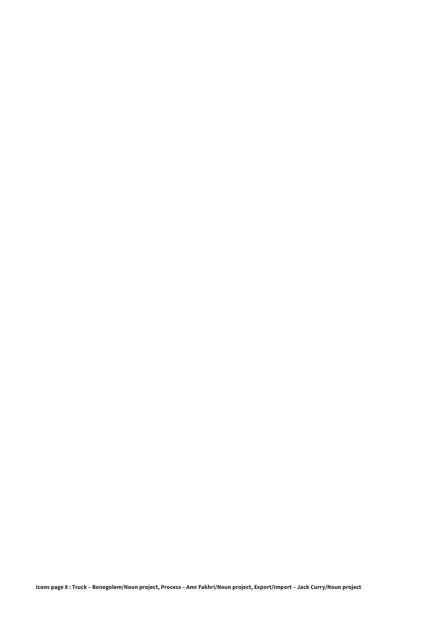**Icons page 8 : Truck – Bonegolem/Noun project, Process – Amr Fakhri/Noun project, Export/Import – Jack Curry/Noun project**